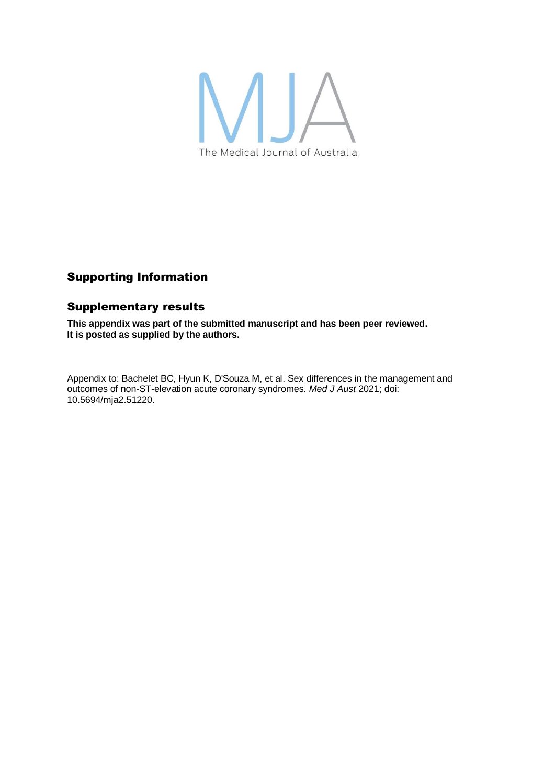

# Supporting Information

## Supplementary results

**This appendix was part of the submitted manuscript and has been peer reviewed. It is posted as supplied by the authors.**

Appendix to: Bachelet BC, Hyun K, D'Souza M, et al. Sex differences in the management and outcomes of non-ST-elevation acute coronary syndromes. *Med J Aust* 2021; doi: 10.5694/mja2.51220.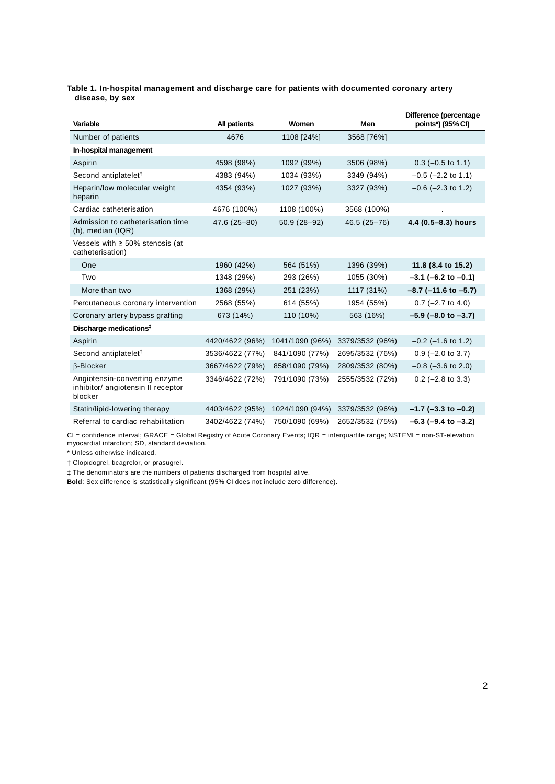#### **Table 1. In-hospital management and discharge care for patients with documented coronary artery disease, by sex**

| Variable                                                                       | <b>All patients</b> | Women           | Men             | Difference (percentage<br>points*) (95% CI) |
|--------------------------------------------------------------------------------|---------------------|-----------------|-----------------|---------------------------------------------|
| Number of patients                                                             | 4676                | 1108 [24%]      | 3568 [76%]      |                                             |
| In-hospital management                                                         |                     |                 |                 |                                             |
| Aspirin                                                                        | 4598 (98%)          | 1092 (99%)      | 3506 (98%)      | $0.3$ (-0.5 to 1.1)                         |
| Second antiplatelet <sup>†</sup>                                               | 4383 (94%)          | 1034 (93%)      | 3349 (94%)      | $-0.5$ ( $-2.2$ to 1.1)                     |
| Heparin/low molecular weight<br>heparin                                        | 4354 (93%)          | 1027 (93%)      | 3327 (93%)      | $-0.6$ ( $-2.3$ to 1.2)                     |
| Cardiac catheterisation                                                        | 4676 (100%)         | 1108 (100%)     | 3568 (100%)     |                                             |
| Admission to catheterisation time<br>$(h)$ , median $(IQR)$                    | 47.6 (25-80)        | $50.9(28-92)$   | 46.5 (25-76)    | 4.4 (0.5-8.3) hours                         |
| Vessels with $\geq 50\%$ stenosis (at<br>catheterisation)                      |                     |                 |                 |                                             |
| One                                                                            | 1960 (42%)          | 564 (51%)       | 1396 (39%)      | 11.8 (8.4 to 15.2)                          |
| Two                                                                            | 1348 (29%)          | 293 (26%)       | 1055 (30%)      | $-3.1$ (-6.2 to $-0.1$ )                    |
| More than two                                                                  | 1368 (29%)          | 251 (23%)       | 1117 (31%)      | $-8.7$ ( $-11.6$ to $-5.7$ )                |
| Percutaneous coronary intervention                                             | 2568 (55%)          | 614 (55%)       | 1954 (55%)      | $0.7$ (-2.7 to 4.0)                         |
| Coronary artery bypass grafting                                                | 673 (14%)           | 110 (10%)       | 563 (16%)       | $-5.9$ ( $-8.0$ to $-3.7$ )                 |
| Discharge medications <sup>#</sup>                                             |                     |                 |                 |                                             |
| Aspirin                                                                        | 4420/4622 (96%)     | 1041/1090 (96%) | 3379/3532 (96%) | $-0.2$ ( $-1.6$ to 1.2)                     |
| Second antiplatelet <sup>†</sup>                                               | 3536/4622 (77%)     | 841/1090 (77%)  | 2695/3532 (76%) | $0.9$ (-2.0 to 3.7)                         |
| β-Blocker                                                                      | 3667/4622 (79%)     | 858/1090 (79%)  | 2809/3532 (80%) | $-0.8$ ( $-3.6$ to 2.0)                     |
| Angiotensin-converting enzyme<br>inhibitor/ angiotensin II receptor<br>blocker | 3346/4622 (72%)     | 791/1090 (73%)  | 2555/3532 (72%) | $0.2$ (-2.8 to 3.3)                         |
| Statin/lipid-lowering therapy                                                  | 4403/4622 (95%)     | 1024/1090 (94%) | 3379/3532 (96%) | $-1.7$ (-3.3 to -0.2)                       |
| Referral to cardiac rehabilitation                                             | 3402/4622 (74%)     | 750/1090 (69%)  | 2652/3532 (75%) | $-6.3$ ( $-9.4$ to $-3.2$ )                 |

CI = confidence interval; GRACE = Global Registry of Acute Coronary Events; IQR = interquartile range; NSTEMI = non-ST-elevation myocardial infarction; SD, standard deviation.

\* Unless otherwise indicated.

† Clopidogrel, ticagrelor, or prasugrel.

‡ The denominators are the numbers of patients discharged from hospital alive.

**Bold**: Sex difference is statistically significant (95% CI does not include zero difference).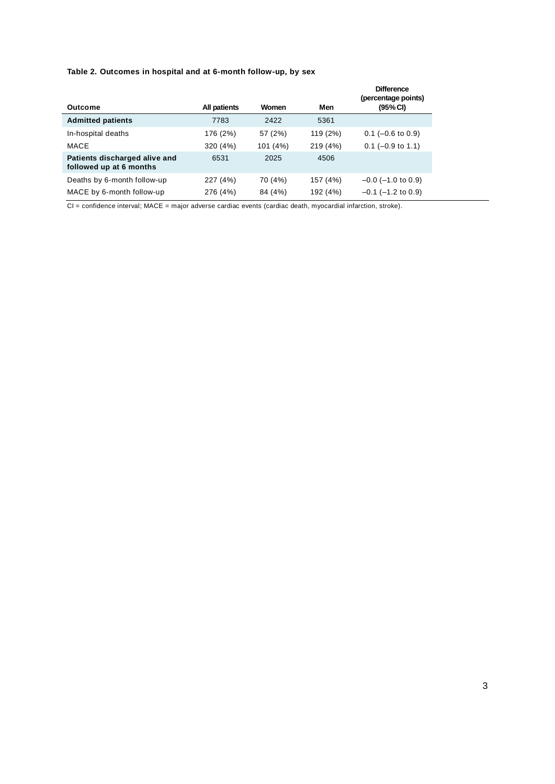### **Table 2. Outcomes in hospital and at 6-month follow-up, by sex**

| Outcome                                                  | All patients | Women    | Men      | <b>Difference</b><br>(percentage points)<br>(95% CI) |
|----------------------------------------------------------|--------------|----------|----------|------------------------------------------------------|
| <b>Admitted patients</b>                                 | 7783         | 2422     | 5361     |                                                      |
| In-hospital deaths                                       | 176 (2%)     | 57 (2%)  | 119 (2%) | $0.1$ (-0.6 to 0.9)                                  |
| MACE                                                     | 320 (4%)     | 101 (4%) | 219 (4%) | $0.1$ (-0.9 to 1.1)                                  |
| Patients discharged alive and<br>followed up at 6 months | 6531         | 2025     | 4506     |                                                      |
| Deaths by 6-month follow-up                              | 227 (4%)     | 70 (4%)  | 157 (4%) | $-0.0$ ( $-1.0$ to 0.9)                              |
| MACE by 6-month follow-up                                | 276 (4%)     | 84 (4%)  | 192 (4%) | $-0.1$ ( $-1.2$ to 0.9)                              |

CI = confidence interval; MACE = major adverse cardiac events (cardiac death, myocardial infarction, stroke).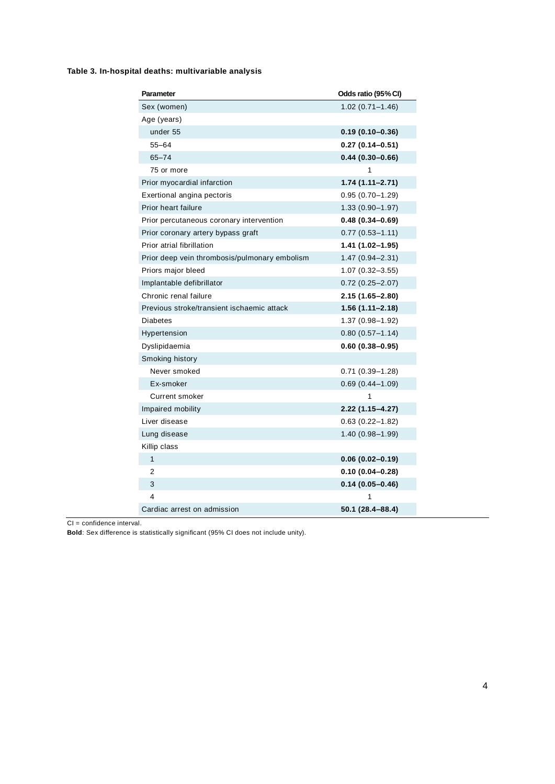### **Table 3. In-hospital deaths: multivariable analysis**

| Parameter                                     | Odds ratio (95% CI) |
|-----------------------------------------------|---------------------|
| Sex (women)                                   | $1.02(0.71 - 1.46)$ |
| Age (years)                                   |                     |
| under 55                                      | $0.19(0.10 - 0.36)$ |
| $55 - 64$                                     | $0.27(0.14 - 0.51)$ |
| $65 - 74$                                     | $0.44(0.30 - 0.66)$ |
| 75 or more                                    | 1                   |
| Prior myocardial infarction                   | $1.74(1.11 - 2.71)$ |
| Exertional angina pectoris                    | $0.95(0.70 - 1.29)$ |
| Prior heart failure                           | $1.33(0.90 - 1.97)$ |
| Prior percutaneous coronary intervention      | $0.48(0.34 - 0.69)$ |
| Prior coronary artery bypass graft            | $0.77(0.53 - 1.11)$ |
| Prior atrial fibrillation                     | 1.41 (1.02-1.95)    |
| Prior deep vein thrombosis/pulmonary embolism | $1.47(0.94 - 2.31)$ |
| Priors major bleed                            | $1.07(0.32 - 3.55)$ |
| Implantable defibrillator                     | $0.72$ (0.25-2.07)  |
| Chronic renal failure                         | 2.15 (1.65-2.80)    |
| Previous stroke/transient ischaemic attack    | $1.56(1.11 - 2.18)$ |
| <b>Diabetes</b>                               | 1.37 (0.98-1.92)    |
| Hypertension                                  | $0.80(0.57 - 1.14)$ |
| Dyslipidaemia                                 | $0.60(0.38 - 0.95)$ |
| Smoking history                               |                     |
| Never smoked                                  | $0.71(0.39 - 1.28)$ |
| Ex-smoker                                     | $0.69(0.44 - 1.09)$ |
| Current smoker                                | 1                   |
| Impaired mobility                             | 2.22 (1.15-4.27)    |
| Liver disease                                 | $0.63(0.22 - 1.82)$ |
| Lung disease                                  | 1.40 (0.98–1.99)    |
| Killip class                                  |                     |
| $\mathbf{1}$                                  | $0.06(0.02 - 0.19)$ |
| 2                                             | $0.10(0.04 - 0.28)$ |
| 3                                             | $0.14(0.05 - 0.46)$ |
| 4                                             | 1                   |
| Cardiac arrest on admission                   | 50.1 (28.4–88.4)    |

CI = confidence interval.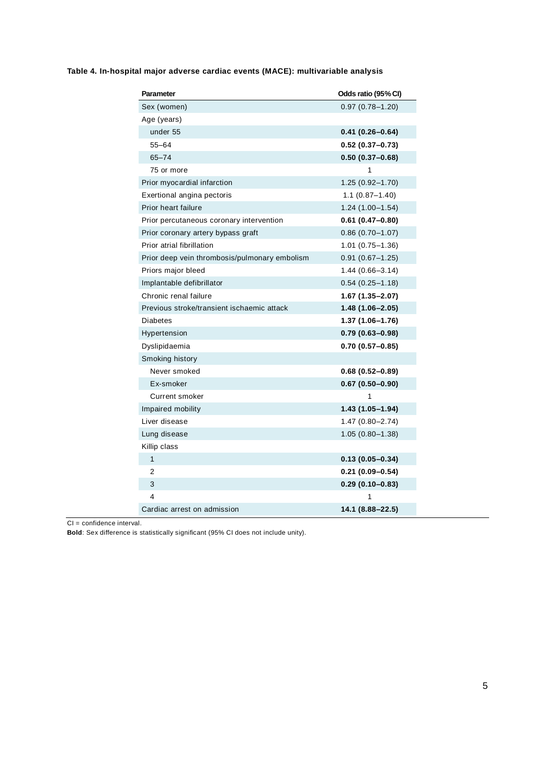| <b>Parameter</b>                              | Odds ratio (95% CI) |
|-----------------------------------------------|---------------------|
| Sex (women)                                   | $0.97(0.78 - 1.20)$ |
| Age (years)                                   |                     |
| under 55                                      | $0.41(0.26 - 0.64)$ |
| $55 - 64$                                     | $0.52(0.37 - 0.73)$ |
| $65 - 74$                                     | $0.50(0.37 - 0.68)$ |
| 75 or more                                    | 1                   |
| Prior myocardial infarction                   | $1.25(0.92 - 1.70)$ |
| Exertional angina pectoris                    | $1.1(0.87 - 1.40)$  |
| Prior heart failure                           | $1.24(1.00-1.54)$   |
| Prior percutaneous coronary intervention      | $0.61(0.47 - 0.80)$ |
| Prior coronary artery bypass graft            | $0.86(0.70 - 1.07)$ |
| Prior atrial fibrillation                     | $1.01(0.75 - 1.36)$ |
| Prior deep vein thrombosis/pulmonary embolism | $0.91(0.67 - 1.25)$ |
| Priors major bleed                            | $1.44(0.66 - 3.14)$ |
| Implantable defibrillator                     | $0.54(0.25 - 1.18)$ |
| Chronic renal failure                         | 1.67 (1.35-2.07)    |
| Previous stroke/transient ischaemic attack    | $1.48(1.06 - 2.05)$ |
| <b>Diabetes</b>                               | $1.37(1.06 - 1.76)$ |
| Hypertension                                  | $0.79(0.63 - 0.98)$ |
| Dyslipidaemia                                 | $0.70(0.57 - 0.85)$ |
| Smoking history                               |                     |
| Never smoked                                  | $0.68(0.52 - 0.89)$ |
| Ex-smoker                                     | $0.67(0.50 - 0.90)$ |
| Current smoker                                | 1                   |
| Impaired mobility                             | $1.43(1.05 - 1.94)$ |
| Liver disease                                 | $1.47(0.80 - 2.74)$ |
| Lung disease                                  | $1.05(0.80-1.38)$   |
| Killip class                                  |                     |
| $\mathbf{1}$                                  | $0.13(0.05 - 0.34)$ |
| 2                                             | $0.21(0.09 - 0.54)$ |
| 3                                             | $0.29(0.10 - 0.83)$ |
| 4                                             | 1                   |
| Cardiac arrest on admission                   | 14.1 (8.88-22.5)    |

**Table 4. In-hospital major adverse cardiac events (MACE): multivariable analysis**

CI = confidence interval.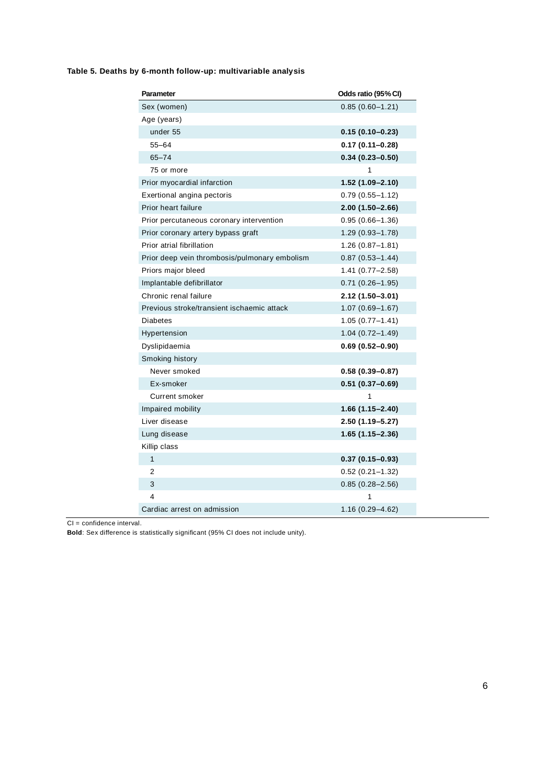| <b>Parameter</b>                              | Odds ratio (95% CI) |
|-----------------------------------------------|---------------------|
| Sex (women)                                   | $0.85(0.60-1.21)$   |
| Age (years)                                   |                     |
| under 55                                      | $0.15(0.10 - 0.23)$ |
| $55 - 64$                                     | $0.17(0.11 - 0.28)$ |
| $65 - 74$                                     | $0.34(0.23 - 0.50)$ |
| 75 or more                                    | 1                   |
| Prior myocardial infarction                   | $1.52(1.09 - 2.10)$ |
| Exertional angina pectoris                    | $0.79(0.55 - 1.12)$ |
| Prior heart failure                           | $2.00(1.50 - 2.66)$ |
| Prior percutaneous coronary intervention      | $0.95(0.66 - 1.36)$ |
| Prior coronary artery bypass graft            | $1.29(0.93 - 1.78)$ |
| Prior atrial fibrillation                     | $1.26(0.87-1.81)$   |
| Prior deep vein thrombosis/pulmonary embolism | $0.87(0.53 - 1.44)$ |
| Priors major bleed                            | $1.41(0.77 - 2.58)$ |
| Implantable defibrillator                     | $0.71(0.26 - 1.95)$ |
| Chronic renal failure                         | 2.12 (1.50-3.01)    |
| Previous stroke/transient ischaemic attack    | $1.07(0.69 - 1.67)$ |
| <b>Diabetes</b>                               | $1.05(0.77 - 1.41)$ |
| Hypertension                                  | $1.04(0.72 - 1.49)$ |
| Dyslipidaemia                                 | $0.69(0.52 - 0.90)$ |
| Smoking history                               |                     |
| Never smoked                                  | $0.58(0.39 - 0.87)$ |
| Ex-smoker                                     | $0.51(0.37 - 0.69)$ |
| <b>Current smoker</b>                         | 1                   |
| Impaired mobility                             | $1.66(1.15 - 2.40)$ |
| Liver disease                                 | 2.50 (1.19–5.27)    |
| Lung disease                                  | $1.65(1.15 - 2.36)$ |
| Killip class                                  |                     |
| $\mathbf{1}$                                  | $0.37(0.15 - 0.93)$ |
| 2                                             | $0.52(0.21 - 1.32)$ |
| 3                                             | $0.85(0.28 - 2.56)$ |
| $\overline{4}$                                | 1                   |
| Cardiac arrest on admission                   | $1.16(0.29 - 4.62)$ |

### **Table 5. Deaths by 6-month follow-up: multivariable analysis**

CI = confidence interval.